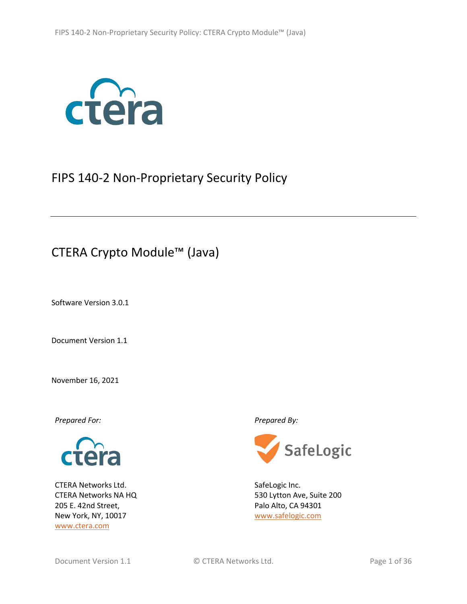

# <span id="page-0-1"></span>FIPS 140-2 Non-Proprietary Security Policy

# CTERA Crypto Module™ (Java)

Software Version 3.0.1

<span id="page-0-0"></span>Document Version 1.1

November 16, 2021



CTERA Networks Ltd. CTERA Networks NA HQ 205 E. 42nd Street, New York, NY, 10017 <www.ctera.com>

*Prepared For: Prepared By:*



SafeLogic Inc. 530 Lytton Ave, Suite 200 Palo Alto, CA 94301 [www.safelogic.com](http://www.safelogic.com/)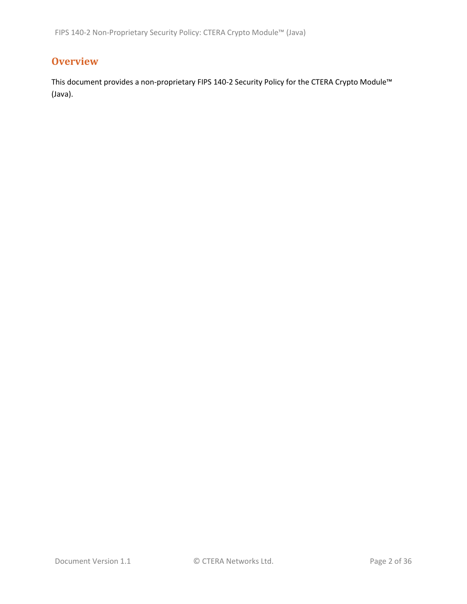# **Overview**

This document provides a non-proprietary FIPS 140-2 Security Policy for the CTERA Crypto Module™ (Java).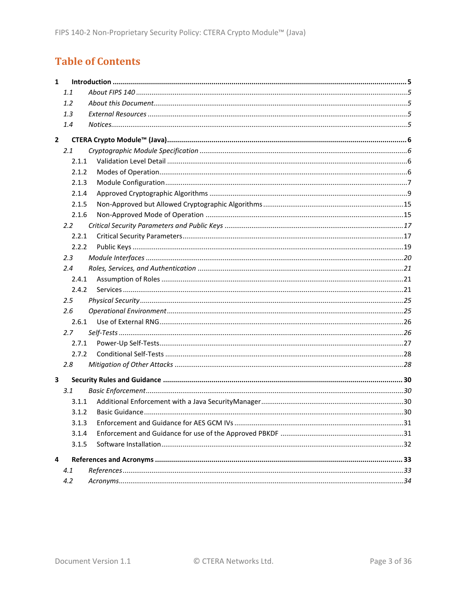# **Table of Contents**

| $\mathbf{1}$ |       |  |
|--------------|-------|--|
|              | 1.1   |  |
|              | 1.2   |  |
|              | 1.3   |  |
|              | 1.4   |  |
| $\mathbf{2}$ |       |  |
|              | 2.1   |  |
|              | 2.1.1 |  |
|              | 2.1.2 |  |
|              | 2.1.3 |  |
|              | 2.1.4 |  |
|              | 2.1.5 |  |
|              | 2.1.6 |  |
|              | 2.2   |  |
|              | 2.2.1 |  |
|              | 2.2.2 |  |
|              | 2.3   |  |
|              | 2.4   |  |
|              | 2.4.1 |  |
|              | 2.4.2 |  |
|              | 2.5   |  |
|              | 2.6   |  |
|              | 2.6.1 |  |
|              | 2.7   |  |
|              | 2.7.1 |  |
|              | 2.7.2 |  |
|              | 2.8   |  |
| 3            |       |  |
|              | 3.1   |  |
|              | 3.1.1 |  |
|              | 3.1.2 |  |
|              | 3.1.3 |  |
|              | 3.1.4 |  |
|              | 3.1.5 |  |
| 4            |       |  |
|              | 4.1   |  |
|              | 4.2   |  |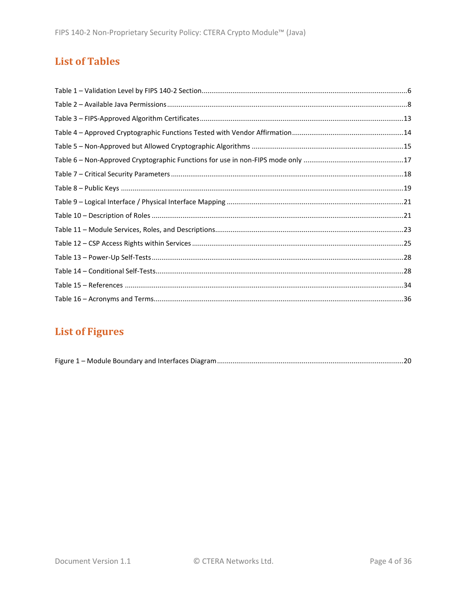# **List of Tables**

# **List of Figures**

|--|--|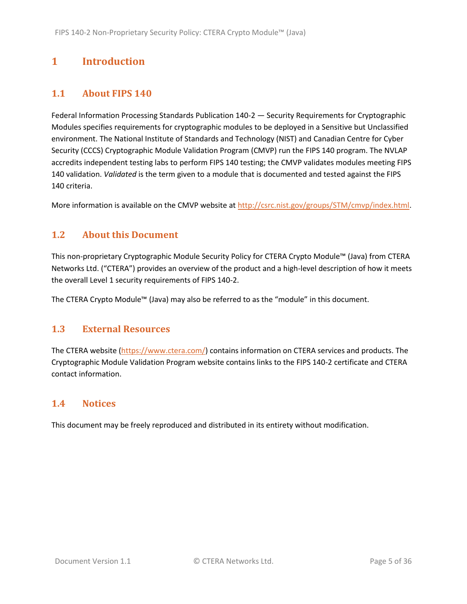# <span id="page-4-0"></span>**1 Introduction**

## <span id="page-4-1"></span>**1.1 About FIPS 140**

Federal Information Processing Standards Publication 140-2 — Security Requirements for Cryptographic Modules specifies requirements for cryptographic modules to be deployed in a Sensitive but Unclassified environment. The National Institute of Standards and Technology (NIST) and Canadian Centre for Cyber Security (CCCS) Cryptographic Module Validation Program (CMVP) run the FIPS 140 program. The NVLAP accredits independent testing labs to perform FIPS 140 testing; the CMVP validates modules meeting FIPS 140 validation. *Validated* is the term given to a module that is documented and tested against the FIPS 140 criteria.

More information is available on the CMVP website a[t http://csrc.nist.gov/groups/STM/cmvp/index.html.](http://csrc.nist.gov/groups/STM/cmvp/index.html)

### <span id="page-4-2"></span>**1.2 About this Document**

This non-proprietary Cryptographic Module Security Policy for CTERA Crypto Module™ (Java) from CTERA Networks Ltd. ("CTERA") provides an overview of the product and a high-level description of how it meets the overall Level 1 security requirements of FIPS 140-2.

The CTERA Crypto Module™ (Java) may also be referred to as the "module" in this document.

#### <span id="page-4-3"></span>**1.3 External Resources**

The CTERA website [\(https://www.ctera.com/\)](https://www.ctera.com/) contains information on CTERA services and products. The Cryptographic Module Validation Program website contains links to the FIPS 140-2 certificate and CTERA contact information.

#### <span id="page-4-4"></span>**1.4 Notices**

This document may be freely reproduced and distributed in its entirety without modification.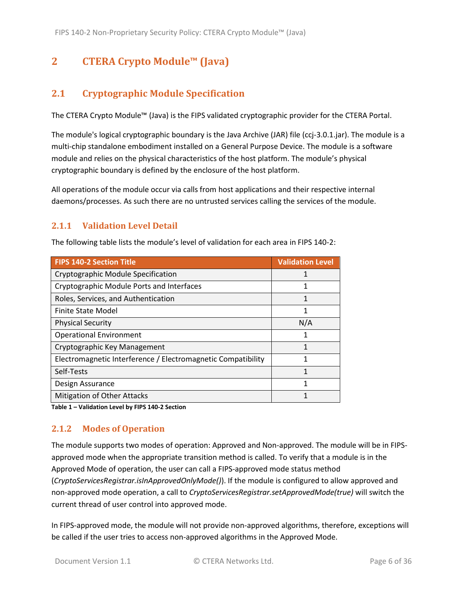# <span id="page-5-0"></span>**2 CTERA Crypto Module™ (Java)**

# <span id="page-5-1"></span>**2.1 Cryptographic Module Specification**

The CTERA Crypto Module™ (Java) is the FIPS validated cryptographic provider for the CTERA Portal.

The module's logical cryptographic boundary is the Java Archive (JAR) file (ccj-3.0.1.jar). The module is a multi-chip standalone embodiment installed on a General Purpose Device. The module is a software module and relies on the physical characteristics of the host platform. The module's physical cryptographic boundary is defined by the enclosure of the host platform.

All operations of the module occur via calls from host applications and their respective internal daemons/processes. As such there are no untrusted services calling the services of the module.

### <span id="page-5-2"></span>**2.1.1 Validation Level Detail**

The following table lists the module's level of validation for each area in FIPS 140-2:

| <b>FIPS 140-2 Section Title</b>                              | <b>Validation Level</b> |
|--------------------------------------------------------------|-------------------------|
| Cryptographic Module Specification                           |                         |
| Cryptographic Module Ports and Interfaces                    |                         |
| Roles, Services, and Authentication                          | 1                       |
| Finite State Model                                           | 1                       |
| <b>Physical Security</b>                                     | N/A                     |
| <b>Operational Environment</b>                               | 1                       |
| Cryptographic Key Management                                 | 1                       |
| Electromagnetic Interference / Electromagnetic Compatibility |                         |
| Self-Tests                                                   | 1                       |
| Design Assurance                                             |                         |
| Mitigation of Other Attacks                                  |                         |

**Table 1 – Validation Level by FIPS 140-2 Section**

### <span id="page-5-3"></span>**2.1.2 Modes of Operation**

The module supports two modes of operation: Approved and Non-approved. The module will be in FIPSapproved mode when the appropriate transition method is called. To verify that a module is in the Approved Mode of operation, the user can call a FIPS-approved mode status method (*CryptoServicesRegistrar.isInApprovedOnlyMode()*). If the module is configured to allow approved and non-approved mode operation, a call to *CryptoServicesRegistrar.setApprovedMode(true)* will switch the current thread of user control into approved mode.

In FIPS-approved mode, the module will not provide non-approved algorithms, therefore, exceptions will be called if the user tries to access non-approved algorithms in the Approved Mode.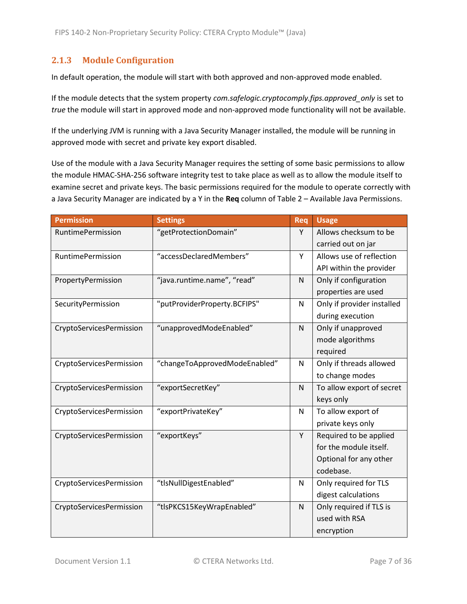### <span id="page-6-0"></span>**2.1.3 Module Configuration**

In default operation, the module will start with both approved and non-approved mode enabled.

If the module detects that the system property *com.safelogic.cryptocomply.fips.approved\_only* is set to *true* the module will start in approved mode and non-approved mode functionality will not be available.

If the underlying JVM is running with a Java Security Manager installed, the module will be running in approved mode with secret and private key export disabled.

Use of the module with a Java Security Manager requires the setting of some basic permissions to allow the module HMAC-SHA-256 software integrity test to take place as well as to allow the module itself to examine secret and private keys. The basic permissions required for the module to operate correctly with a Java Security Manager are indicated by a Y in the **Req** column of Table 2 – [Available Java Permissions.](#page-7-0)

| <b>Permission</b>        | <b>Settings</b>               | Req | <b>Usage</b>               |
|--------------------------|-------------------------------|-----|----------------------------|
| RuntimePermission        | "getProtectionDomain"         | Y   | Allows checksum to be      |
|                          |                               |     | carried out on jar         |
| RuntimePermission        | "accessDeclaredMembers"       | Y   | Allows use of reflection   |
|                          |                               |     | API within the provider    |
| PropertyPermission       | "java.runtime.name", "read"   | N   | Only if configuration      |
|                          |                               |     | properties are used        |
| SecurityPermission       | "putProviderProperty.BCFIPS"  | N   | Only if provider installed |
|                          |                               |     | during execution           |
| CryptoServicesPermission | "unapprovedModeEnabled"       | N   | Only if unapproved         |
|                          |                               |     | mode algorithms            |
|                          |                               |     | required                   |
| CryptoServicesPermission | "changeToApprovedModeEnabled" | N   | Only if threads allowed    |
|                          |                               |     | to change modes            |
| CryptoServicesPermission | "exportSecretKey"             | N   | To allow export of secret  |
|                          |                               |     | keys only                  |
| CryptoServicesPermission | "exportPrivateKey"            | N   | To allow export of         |
|                          |                               |     | private keys only          |
| CryptoServicesPermission | "exportKeys"                  | Y   | Required to be applied     |
|                          |                               |     | for the module itself.     |
|                          |                               |     | Optional for any other     |
|                          |                               |     | codebase.                  |
| CryptoServicesPermission | "tlsNullDigestEnabled"        | N   | Only required for TLS      |
|                          |                               |     | digest calculations        |
| CryptoServicesPermission | "tlsPKCS15KeyWrapEnabled"     | N   | Only required if TLS is    |
|                          |                               |     | used with RSA              |
|                          |                               |     | encryption                 |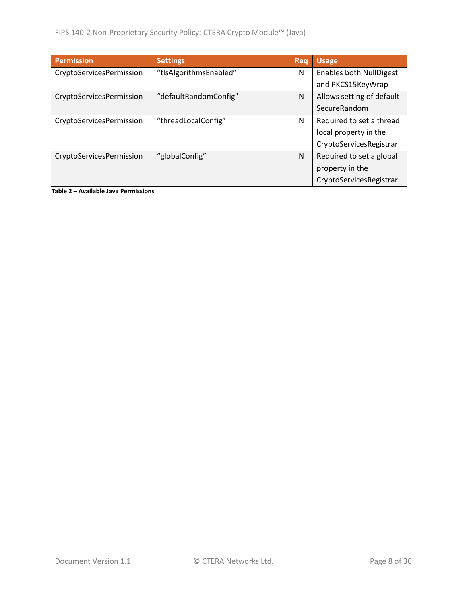| <b>Permission</b>        | <b>Settings</b>        | Reg | <b>Usage</b>                   |
|--------------------------|------------------------|-----|--------------------------------|
| CryptoServicesPermission | "tlsAlgorithmsEnabled" | N   | <b>Enables both NullDigest</b> |
|                          |                        |     | and PKCS15KeyWrap              |
| CryptoServicesPermission | "defaultRandomConfig"  | N   | Allows setting of default      |
|                          |                        |     | SecureRandom                   |
| CryptoServicesPermission | "threadLocalConfig"    | N   | Required to set a thread       |
|                          |                        |     | local property in the          |
|                          |                        |     | CryptoServicesRegistrar        |
| CryptoServicesPermission | "globalConfig"         | N   | Required to set a global       |
|                          |                        |     | property in the                |
|                          |                        |     | CryptoServicesRegistrar        |

<span id="page-7-0"></span>**Table 2 – Available Java Permissions**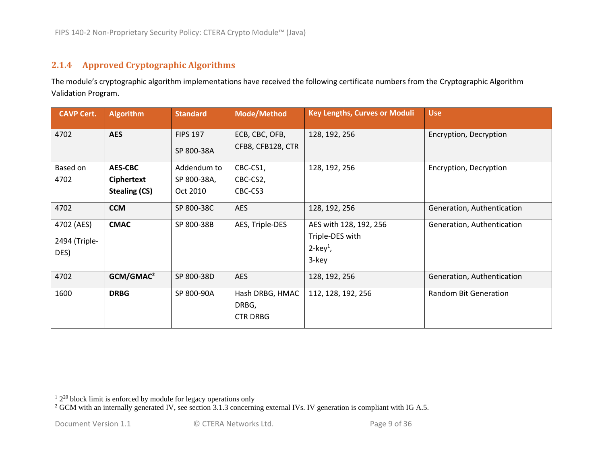### **2.1.4 Approved Cryptographic Algorithms**

The module's cryptographic algorithm implementations have received the following certificate numbers from the Cryptographic Algorithm Validation Program.

<span id="page-8-0"></span>

| <b>CAVP Cert.</b> | <b>Algorithm</b>      | <b>Standard</b> | <b>Mode/Method</b> | <b>Key Lengths, Curves or Moduli</b> | <b>Use</b>                   |
|-------------------|-----------------------|-----------------|--------------------|--------------------------------------|------------------------------|
| 4702              | <b>AES</b>            | <b>FIPS 197</b> | ECB, CBC, OFB,     | 128, 192, 256                        | Encryption, Decryption       |
|                   |                       | SP 800-38A      | CFB8, CFB128, CTR  |                                      |                              |
| Based on          | <b>AES-CBC</b>        | Addendum to     | CBC-CS1,           | 128, 192, 256                        | Encryption, Decryption       |
| 4702              | <b>Ciphertext</b>     | SP 800-38A,     | CBC-CS2,           |                                      |                              |
|                   | <b>Stealing (CS)</b>  | Oct 2010        | CBC-CS3            |                                      |                              |
| 4702              | <b>CCM</b>            | SP 800-38C      | <b>AES</b>         | 128, 192, 256                        | Generation, Authentication   |
| 4702 (AES)        | <b>CMAC</b>           | SP 800-38B      | AES, Triple-DES    | AES with 128, 192, 256               | Generation, Authentication   |
| 2494 (Triple-     |                       |                 |                    | Triple-DES with                      |                              |
| DES)              |                       |                 |                    | $2$ -key <sup>1</sup> ,              |                              |
|                   |                       |                 |                    | 3-key                                |                              |
| 4702              | GCM/GMAC <sup>2</sup> | SP 800-38D      | <b>AES</b>         | 128, 192, 256                        | Generation, Authentication   |
| 1600              | <b>DRBG</b>           | SP 800-90A      | Hash DRBG, HMAC    | 112, 128, 192, 256                   | <b>Random Bit Generation</b> |
|                   |                       |                 | DRBG,              |                                      |                              |
|                   |                       |                 | <b>CTR DRBG</b>    |                                      |                              |
|                   |                       |                 |                    |                                      |                              |

 $12^{20}$  block limit is enforced by module for legacy operations only

 $2$  GCM with an internally generated IV, see section 3.1.3 concerning external IVs. IV generation is compliant with IG A.5.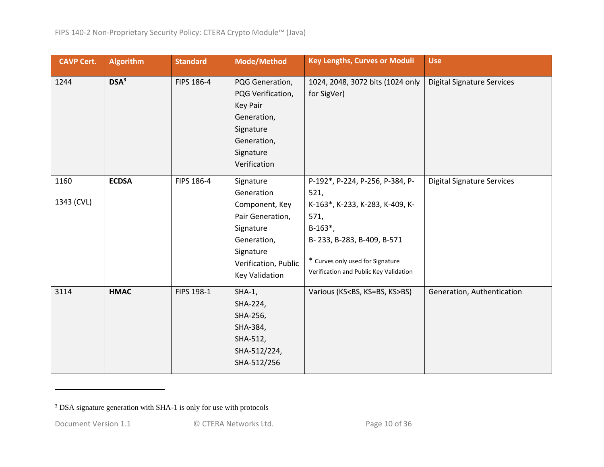| <b>CAVP Cert.</b>  | <b>Algorithm</b> | <b>Standard</b> | Mode/Method                                                                                                                                             | <b>Key Lengths, Curves or Moduli</b>                                                                                                                                                                          | <b>Use</b>                        |
|--------------------|------------------|-----------------|---------------------------------------------------------------------------------------------------------------------------------------------------------|---------------------------------------------------------------------------------------------------------------------------------------------------------------------------------------------------------------|-----------------------------------|
| 1244               | DSA <sup>3</sup> | FIPS 186-4      | PQG Generation,<br>PQG Verification,<br>Key Pair<br>Generation,<br>Signature<br>Generation,<br>Signature<br>Verification                                | 1024, 2048, 3072 bits (1024 only<br>for SigVer)                                                                                                                                                               | <b>Digital Signature Services</b> |
| 1160<br>1343 (CVL) | <b>ECDSA</b>     | FIPS 186-4      | Signature<br>Generation<br>Component, Key<br>Pair Generation,<br>Signature<br>Generation,<br>Signature<br>Verification, Public<br><b>Key Validation</b> | P-192*, P-224, P-256, P-384, P-<br>521,<br>K-163*, K-233, K-283, K-409, K-<br>571,<br>$B-163^*$ ,<br>B-233, B-283, B-409, B-571<br>* Curves only used for Signature<br>Verification and Public Key Validation | <b>Digital Signature Services</b> |
| 3114               | <b>HMAC</b>      | FIPS 198-1      | $SHA-1$ ,<br>SHA-224,<br>SHA-256,<br>SHA-384,<br>SHA-512,<br>SHA-512/224,<br>SHA-512/256                                                                | Various (KS <bs, ks="">BS)</bs,>                                                                                                                                                                              | Generation, Authentication        |

<sup>3</sup> DSA signature generation with SHA-1 is only for use with protocols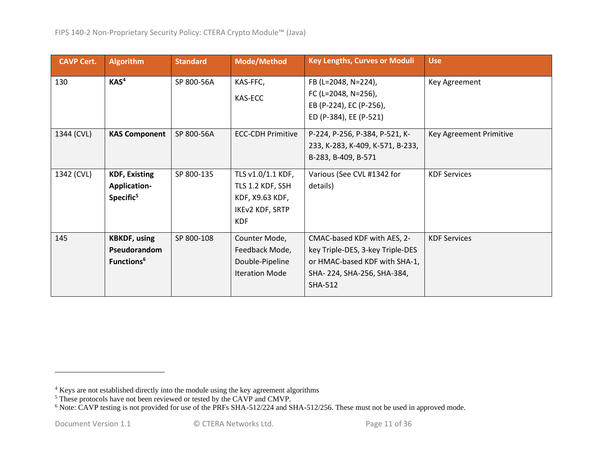| <b>CAVP Cert.</b> | <b>Algorithm</b>                                                     | <b>Standard</b> | <b>Mode/Method</b>                                                                               | <b>Key Lengths, Curves or Moduli</b>                                                                                                             | <b>Use</b>              |
|-------------------|----------------------------------------------------------------------|-----------------|--------------------------------------------------------------------------------------------------|--------------------------------------------------------------------------------------------------------------------------------------------------|-------------------------|
| 130               | KAS <sup>4</sup>                                                     | SP 800-56A      | KAS-FFC,<br>KAS-ECC                                                                              | FB (L=2048, N=224),<br>FC (L=2048, N=256),<br>EB (P-224), EC (P-256),<br>ED (P-384), EE (P-521)                                                  | Key Agreement           |
| 1344 (CVL)        | <b>KAS Component</b>                                                 | SP 800-56A      | <b>ECC-CDH Primitive</b>                                                                         | P-224, P-256, P-384, P-521, K-<br>233, K-283, K-409, K-571, B-233,<br>B-283, B-409, B-571                                                        | Key Agreement Primitive |
| 1342 (CVL)        | <b>KDF, Existing</b><br><b>Application-</b><br>Specific <sup>5</sup> | SP 800-135      | TLS v1.0/1.1 KDF,<br>TLS 1.2 KDF, SSH<br>KDF, X9.63 KDF,<br><b>IKEV2 KDF, SRTP</b><br><b>KDF</b> | Various (See CVL #1342 for<br>details)                                                                                                           | <b>KDF Services</b>     |
| 145               | <b>KBKDF, using</b><br>Pseudorandom<br>Functions <sup>6</sup>        | SP 800-108      | Counter Mode,<br>Feedback Mode,<br>Double-Pipeline<br><b>Iteration Mode</b>                      | CMAC-based KDF with AES, 2-<br>key Triple-DES, 3-key Triple-DES<br>or HMAC-based KDF with SHA-1,<br>SHA-224, SHA-256, SHA-384,<br><b>SHA-512</b> | <b>KDF Services</b>     |

<sup>&</sup>lt;sup>4</sup> Keys are not established directly into the module using the key agreement algorithms

<sup>&</sup>lt;sup>5</sup> These protocols have not been reviewed or tested by the CAVP and CMVP.

<sup>&</sup>lt;sup>6</sup> Note: CAVP testing is not provided for use of the PRFs SHA-512/224 and SHA-512/256. These must not be used in approved mode.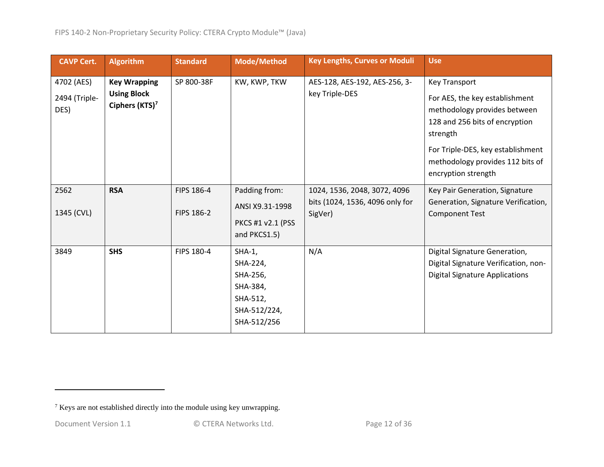| <b>CAVP Cert.</b>                   | <b>Algorithm</b>                                                        | <b>Standard</b>          | <b>Mode/Method</b>                                                                      | <b>Key Lengths, Curves or Moduli</b>                                       | <b>Use</b>                                                                                                                                                                                                                           |
|-------------------------------------|-------------------------------------------------------------------------|--------------------------|-----------------------------------------------------------------------------------------|----------------------------------------------------------------------------|--------------------------------------------------------------------------------------------------------------------------------------------------------------------------------------------------------------------------------------|
| 4702 (AES)<br>2494 (Triple-<br>DES) | <b>Key Wrapping</b><br><b>Using Block</b><br>Ciphers (KTS) <sup>7</sup> | SP 800-38F               | KW, KWP, TKW                                                                            | AES-128, AES-192, AES-256, 3-<br>key Triple-DES                            | <b>Key Transport</b><br>For AES, the key establishment<br>methodology provides between<br>128 and 256 bits of encryption<br>strength<br>For Triple-DES, key establishment<br>methodology provides 112 bits of<br>encryption strength |
| 2562<br>1345 (CVL)                  | <b>RSA</b>                                                              | FIPS 186-4<br>FIPS 186-2 | Padding from:<br>ANSI X9.31-1998<br>PKCS #1 v2.1 (PSS<br>and PKCS1.5)                   | 1024, 1536, 2048, 3072, 4096<br>bits (1024, 1536, 4096 only for<br>SigVer) | Key Pair Generation, Signature<br>Generation, Signature Verification,<br><b>Component Test</b>                                                                                                                                       |
| 3849                                | <b>SHS</b>                                                              | FIPS 180-4               | $SHA-1,$<br>SHA-224,<br>SHA-256,<br>SHA-384,<br>SHA-512,<br>SHA-512/224,<br>SHA-512/256 | N/A                                                                        | Digital Signature Generation,<br>Digital Signature Verification, non-<br><b>Digital Signature Applications</b>                                                                                                                       |

<sup>7</sup> Keys are not established directly into the module using key unwrapping.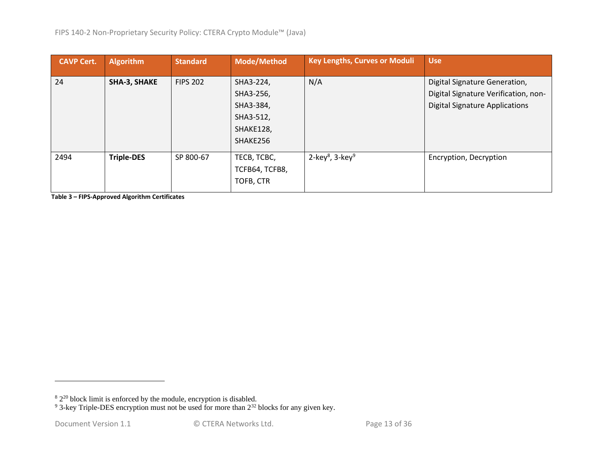| <b>CAVP Cert.</b> | <b>Algorithm</b>    | <b>Standard</b> | <b>Mode/Method</b> | <b>Key Lengths, Curves or Moduli</b>    | <b>Use</b>                            |
|-------------------|---------------------|-----------------|--------------------|-----------------------------------------|---------------------------------------|
| 24                | <b>SHA-3, SHAKE</b> | <b>FIPS 202</b> | SHA3-224,          | N/A                                     | Digital Signature Generation,         |
|                   |                     |                 | SHA3-256,          |                                         | Digital Signature Verification, non-  |
|                   |                     |                 | SHA3-384,          |                                         | <b>Digital Signature Applications</b> |
|                   |                     |                 | SHA3-512,          |                                         |                                       |
|                   |                     |                 | SHAKE128,          |                                         |                                       |
|                   |                     |                 | SHAKE256           |                                         |                                       |
| 2494              | <b>Triple-DES</b>   | SP 800-67       | TECB, TCBC,        | 2-key <sup>8</sup> , 3-key <sup>9</sup> | Encryption, Decryption                |
|                   |                     |                 | TCFB64, TCFB8,     |                                         |                                       |
|                   |                     |                 | TOFB, CTR          |                                         |                                       |

**Table 3 – FIPS-Approved Algorithm Certificates**

 $82^{20}$  block limit is enforced by the module, encryption is disabled.

 $9^9$  3-key Triple-DES encryption must not be used for more than  $2^{32}$  blocks for any given key.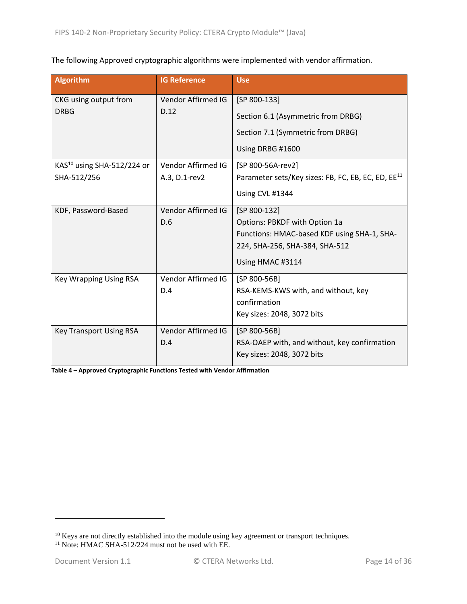The following Approved cryptographic algorithms were implemented with vendor affirmation.

| <b>Algorithm</b>                       | <b>IG Reference</b> | <b>Use</b>                                                     |
|----------------------------------------|---------------------|----------------------------------------------------------------|
| CKG using output from                  | Vendor Affirmed IG  | $[SP 800-133]$                                                 |
| <b>DRBG</b>                            | D.12                | Section 6.1 (Asymmetric from DRBG)                             |
|                                        |                     | Section 7.1 (Symmetric from DRBG)                              |
|                                        |                     | Using DRBG #1600                                               |
| KAS <sup>10</sup> using SHA-512/224 or | Vendor Affirmed IG  | [SP 800-56A-rev2]                                              |
| SHA-512/256                            | A.3, D.1-rev2       | Parameter sets/Key sizes: FB, FC, EB, EC, ED, EE <sup>11</sup> |
|                                        |                     | Using CVL #1344                                                |
| KDF, Password-Based                    | Vendor Affirmed IG  | [SP 800-132]                                                   |
|                                        | D.6                 | Options: PBKDF with Option 1a                                  |
|                                        |                     | Functions: HMAC-based KDF using SHA-1, SHA-                    |
|                                        |                     | 224, SHA-256, SHA-384, SHA-512                                 |
|                                        |                     | Using HMAC #3114                                               |
| <b>Key Wrapping Using RSA</b>          | Vendor Affirmed IG  | $[SP 800-56B]$                                                 |
|                                        | D.4                 | RSA-KEMS-KWS with, and without, key                            |
|                                        |                     | confirmation                                                   |
|                                        |                     | Key sizes: 2048, 3072 bits                                     |
| <b>Key Transport Using RSA</b>         | Vendor Affirmed IG  | [SP 800-56B]                                                   |
|                                        | D.4                 | RSA-OAEP with, and without, key confirmation                   |
|                                        |                     | Key sizes: 2048, 3072 bits                                     |

**Table 4 – Approved Cryptographic Functions Tested with Vendor Affirmation**

<sup>&</sup>lt;sup>10</sup> Keys are not directly established into the module using key agreement or transport techniques.

<sup>&</sup>lt;sup>11</sup> Note: HMAC SHA-512/224 must not be used with EE.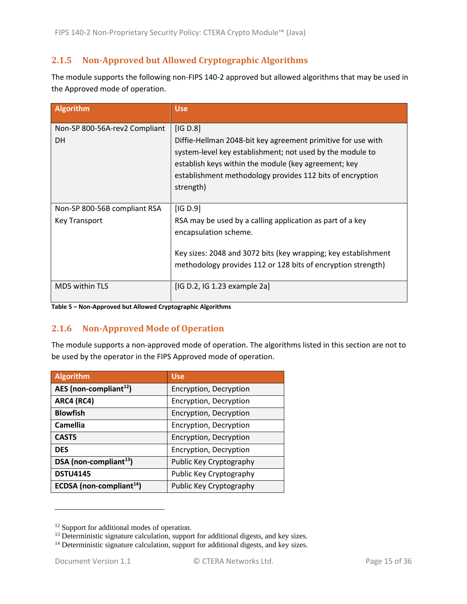## <span id="page-14-0"></span>**2.1.5 Non-Approved but Allowed Cryptographic Algorithms**

The module supports the following non-FIPS 140-2 approved but allowed algorithms that may be used in the Approved mode of operation.

| Algorithm                                     | <b>Use</b>                                                                                                                                                                                                                                                              |
|-----------------------------------------------|-------------------------------------------------------------------------------------------------------------------------------------------------------------------------------------------------------------------------------------------------------------------------|
| Non-SP 800-56A-rev2 Compliant<br><b>DH</b>    | [IG D.8]<br>Diffie-Hellman 2048-bit key agreement primitive for use with<br>system-level key establishment; not used by the module to<br>establish keys within the module (key agreement; key<br>establishment methodology provides 112 bits of encryption<br>strength) |
| Non-SP 800-56B compliant RSA<br>Key Transport | [IG D.9]<br>RSA may be used by a calling application as part of a key<br>encapsulation scheme.<br>Key sizes: 2048 and 3072 bits (key wrapping; key establishment<br>methodology provides 112 or 128 bits of encryption strength)                                        |
| <b>MD5 within TLS</b>                         | [IG D.2, IG 1.23 example 2a]                                                                                                                                                                                                                                            |

**Table 5 – Non-Approved but Allowed Cryptographic Algorithms**

#### <span id="page-14-1"></span>**2.1.6 Non-Approved Mode of Operation**

The module supports a non-approved mode of operation. The algorithms listed in this section are not to be used by the operator in the FIPS Approved mode of operation.

| <b>Algorithm</b>                     | <b>Use</b>              |
|--------------------------------------|-------------------------|
| AES (non-compliant $^{12}$ )         | Encryption, Decryption  |
| <b>ARC4 (RC4)</b>                    | Encryption, Decryption  |
| <b>Blowfish</b>                      | Encryption, Decryption  |
| <b>Camellia</b>                      | Encryption, Decryption  |
| CAST <sub>5</sub>                    | Encryption, Decryption  |
| <b>DES</b>                           | Encryption, Decryption  |
| DSA (non-compliant <sup>13</sup> )   | Public Key Cryptography |
| <b>DSTU4145</b>                      | Public Key Cryptography |
| ECDSA (non-compliant <sup>14</sup> ) | Public Key Cryptography |

<sup>&</sup>lt;sup>12</sup> Support for additional modes of operation.

 $13$  Deterministic signature calculation, support for additional digests, and key sizes.

<sup>&</sup>lt;sup>14</sup> Deterministic signature calculation, support for additional digests, and key sizes.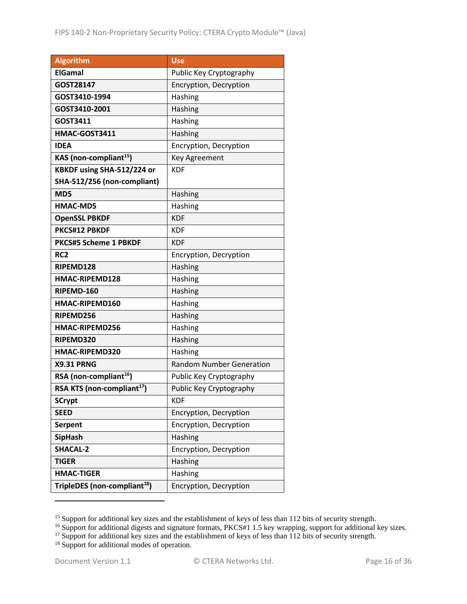| <b>Algorithm</b>                         | <b>Use</b>                      |
|------------------------------------------|---------------------------------|
| <b>ElGamal</b>                           | Public Key Cryptography         |
| GOST28147                                | Encryption, Decryption          |
| GOST3410-1994                            | Hashing                         |
| GOST3410-2001                            | Hashing                         |
| GOST3411                                 | Hashing                         |
| HMAC-GOST3411                            | Hashing                         |
| IDEA                                     | Encryption, Decryption          |
| KAS (non-compliant <sup>15</sup> )       | <b>Key Agreement</b>            |
| KBKDF using SHA-512/224 or               | <b>KDF</b>                      |
| SHA-512/256 (non-compliant)              |                                 |
| MD5                                      | Hashing                         |
| <b>HMAC-MD5</b>                          | Hashing                         |
| <b>OpenSSL PBKDF</b>                     | <b>KDF</b>                      |
| PKCS#12 PBKDF                            | <b>KDF</b>                      |
| <b>PKCS#5 Scheme 1 PBKDF</b>             | <b>KDF</b>                      |
| RC <sub>2</sub>                          | Encryption, Decryption          |
| RIPEMD128                                | Hashing                         |
| HMAC-RIPEMD128                           | Hashing                         |
| RIPEMD-160                               | Hashing                         |
| HMAC-RIPEMD160                           | Hashing                         |
| RIPEMD256                                | Hashing                         |
| HMAC-RIPEMD256                           | Hashing                         |
| RIPEMD320                                | Hashing                         |
| HMAC-RIPEMD320                           | Hashing                         |
| <b>X9.31 PRNG</b>                        | <b>Random Number Generation</b> |
| RSA (non-compliant <sup>16</sup> )       | Public Key Cryptography         |
| RSA KTS (non-compliant <sup>17</sup> )   | Public Key Cryptography         |
| <b>SCrypt</b>                            | <b>KDF</b>                      |
| <b>SEED</b>                              | Encryption, Decryption          |
| <b>Serpent</b>                           | Encryption, Decryption          |
| <b>SipHash</b>                           | Hashing                         |
| <b>SHACAL-2</b>                          | Encryption, Decryption          |
| <b>TIGER</b>                             | Hashing                         |
| <b>HMAC-TIGER</b>                        | Hashing                         |
| TripleDES (non-compliant <sup>18</sup> ) | Encryption, Decryption          |

<sup>&</sup>lt;sup>15</sup> Support for additional key sizes and the establishment of keys of less than 112 bits of security strength.

<sup>&</sup>lt;sup>16</sup> Support for additional digests and signature formats, PKCS#1 1.5 key wrapping, support for additional key sizes.

 $17$  Support for additional key sizes and the establishment of keys of less than 112 bits of security strength.

<sup>&</sup>lt;sup>18</sup> Support for additional modes of operation.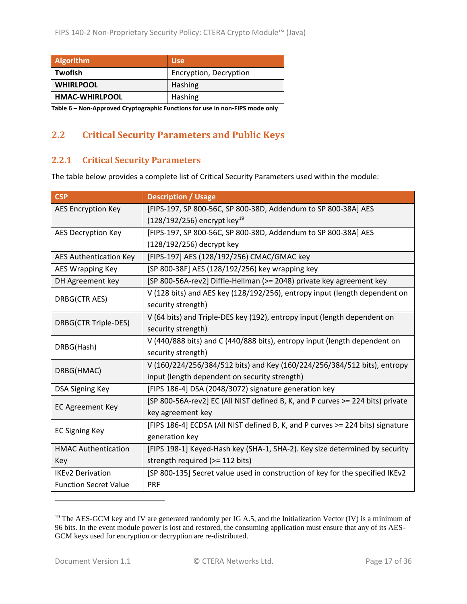| <b>Algorithm</b>                                                                     | <b>Use</b>             |  |
|--------------------------------------------------------------------------------------|------------------------|--|
| <b>Twofish</b>                                                                       | Encryption, Decryption |  |
| <b>WHIRLPOOL</b>                                                                     | Hashing                |  |
| <b>HMAC-WHIRLPOOL</b>                                                                | Hashing                |  |
| walls A thing account a According world was also forced to a somewhat a state of the |                        |  |

**Table 6 – Non-Approved Cryptographic Functions for use in non-FIPS mode only**

# <span id="page-16-0"></span>**2.2 Critical Security Parameters and Public Keys**

#### <span id="page-16-1"></span>**2.2.1 Critical Security Parameters**

The table below provides a complete list of Critical Security Parameters used within the module:

| <b>CSP</b>                    | <b>Description / Usage</b>                                                     |
|-------------------------------|--------------------------------------------------------------------------------|
| <b>AES Encryption Key</b>     | [FIPS-197, SP 800-56C, SP 800-38D, Addendum to SP 800-38A] AES                 |
|                               | $(128/192/256)$ encrypt key <sup>19</sup>                                      |
| <b>AES Decryption Key</b>     | [FIPS-197, SP 800-56C, SP 800-38D, Addendum to SP 800-38A] AES                 |
|                               | (128/192/256) decrypt key                                                      |
| <b>AES Authentication Key</b> | [FIPS-197] AES (128/192/256) CMAC/GMAC key                                     |
| <b>AES Wrapping Key</b>       | [SP 800-38F] AES (128/192/256) key wrapping key                                |
| DH Agreement key              | [SP 800-56A-rev2] Diffie-Hellman (>= 2048) private key agreement key           |
| DRBG(CTR AES)                 | V (128 bits) and AES key (128/192/256), entropy input (length dependent on     |
|                               | security strength)                                                             |
| DRBG(CTR Triple-DES)          | V (64 bits) and Triple-DES key (192), entropy input (length dependent on       |
|                               | security strength)                                                             |
| DRBG(Hash)                    | V (440/888 bits) and C (440/888 bits), entropy input (length dependent on      |
|                               | security strength)                                                             |
| DRBG(HMAC)                    | V (160/224/256/384/512 bits) and Key (160/224/256/384/512 bits), entropy       |
|                               | input (length dependent on security strength)                                  |
| <b>DSA Signing Key</b>        | [FIPS 186-4] DSA (2048/3072) signature generation key                          |
| <b>EC Agreement Key</b>       | [SP 800-56A-rev2] EC (All NIST defined B, K, and P curves >= 224 bits) private |
|                               | key agreement key                                                              |
| <b>EC Signing Key</b>         | [FIPS 186-4] ECDSA (All NIST defined B, K, and P curves >= 224 bits) signature |
|                               | generation key                                                                 |
| <b>HMAC Authentication</b>    | [FIPS 198-1] Keyed-Hash key (SHA-1, SHA-2). Key size determined by security    |
| Key                           | strength required (>= 112 bits)                                                |
| <b>IKEv2 Derivation</b>       | [SP 800-135] Secret value used in construction of key for the specified IKEv2  |
| <b>Function Secret Value</b>  | <b>PRF</b>                                                                     |

<sup>&</sup>lt;sup>19</sup> The AES-GCM key and IV are generated randomly per IG A.5, and the Initialization Vector (IV) is a minimum of 96 bits. In the event module power is lost and restored, the consuming application must ensure that any of its AES-GCM keys used for encryption or decryption are re-distributed.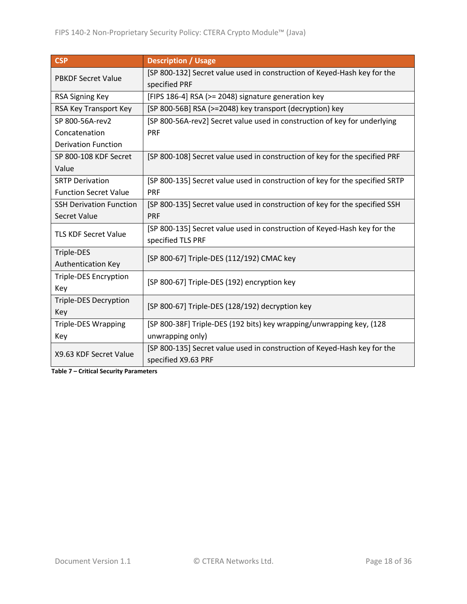| <b>CSP</b>                     | <b>Description / Usage</b>                                                   |
|--------------------------------|------------------------------------------------------------------------------|
| <b>PBKDF Secret Value</b>      | [SP 800-132] Secret value used in construction of Keyed-Hash key for the     |
|                                | specified PRF                                                                |
| RSA Signing Key                | [FIPS 186-4] RSA (>= 2048) signature generation key                          |
| RSA Key Transport Key          | [SP 800-56B] RSA (>=2048) key transport (decryption) key                     |
| SP 800-56A-rev2                | [SP 800-56A-rev2] Secret value used in construction of key for underlying    |
| Concatenation                  | <b>PRF</b>                                                                   |
| <b>Derivation Function</b>     |                                                                              |
| SP 800-108 KDF Secret          | [SP 800-108] Secret value used in construction of key for the specified PRF  |
| Value                          |                                                                              |
| <b>SRTP Derivation</b>         | [SP 800-135] Secret value used in construction of key for the specified SRTP |
| <b>Function Secret Value</b>   | <b>PRF</b>                                                                   |
| <b>SSH Derivation Function</b> | [SP 800-135] Secret value used in construction of key for the specified SSH  |
| Secret Value                   | <b>PRF</b>                                                                   |
| <b>TLS KDF Secret Value</b>    | [SP 800-135] Secret value used in construction of Keyed-Hash key for the     |
|                                | specified TLS PRF                                                            |
| Triple-DES                     | [SP 800-67] Triple-DES (112/192) CMAC key                                    |
| <b>Authentication Key</b>      |                                                                              |
| <b>Triple-DES Encryption</b>   | [SP 800-67] Triple-DES (192) encryption key                                  |
| Key                            |                                                                              |
| <b>Triple-DES Decryption</b>   | [SP 800-67] Triple-DES (128/192) decryption key                              |
| Key                            |                                                                              |
| <b>Triple-DES Wrapping</b>     | [SP 800-38F] Triple-DES (192 bits) key wrapping/unwrapping key, (128         |
| Key                            | unwrapping only)                                                             |
| X9.63 KDF Secret Value         | [SP 800-135] Secret value used in construction of Keyed-Hash key for the     |
|                                | specified X9.63 PRF                                                          |

**Table 7 – Critical Security Parameters**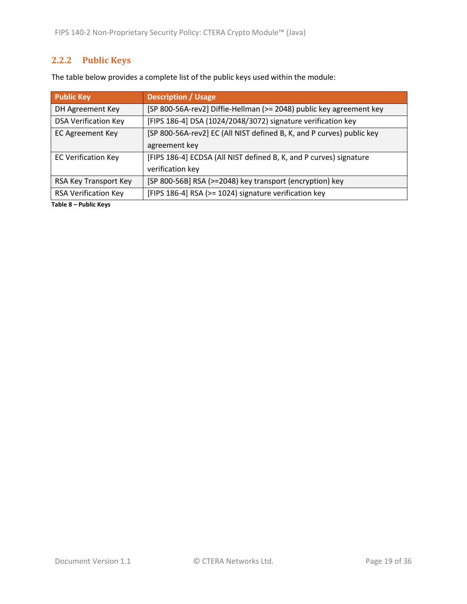# <span id="page-18-0"></span>**2.2.2 Public Keys**

| <b>Public Key</b>           | <b>Description / Usage</b>                                            |
|-----------------------------|-----------------------------------------------------------------------|
| DH Agreement Key            | [SP 800-56A-rev2] Diffie-Hellman (>= 2048) public key agreement key   |
| <b>DSA Verification Key</b> | [FIPS 186-4] DSA (1024/2048/3072) signature verification key          |
| <b>EC Agreement Key</b>     | [SP 800-56A-rev2] EC (All NIST defined B, K, and P curves) public key |
|                             | agreement key                                                         |
| <b>EC Verification Key</b>  | [FIPS 186-4] ECDSA (All NIST defined B, K, and P curves) signature    |
|                             | verification key                                                      |
| RSA Key Transport Key       | [SP 800-56B] RSA (>=2048) key transport (encryption) key              |
| <b>RSA Verification Key</b> | [FIPS 186-4] RSA (>= 1024) signature verification key                 |

**Table 8 – Public Keys**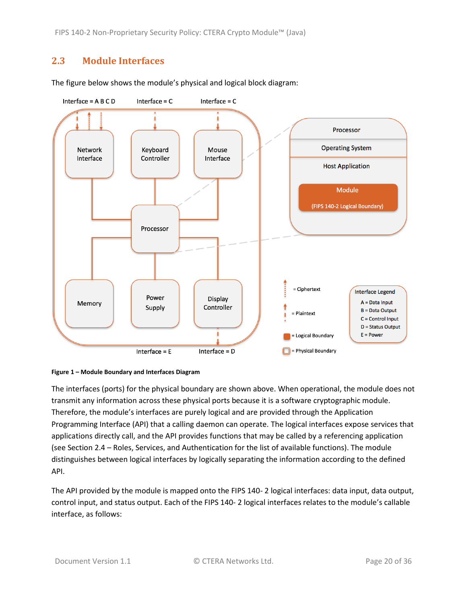# <span id="page-19-0"></span>**2.3 Module Interfaces**





<span id="page-19-1"></span>

The interfaces (ports) for the physical boundary are shown above. When operational, the module does not transmit any information across these physical ports because it is a software cryptographic module. Therefore, the module's interfaces are purely logical and are provided through the Application Programming Interface (API) that a calling daemon can operate. The logical interfaces expose services that applications directly call, and the API provides functions that may be called by a referencing application (see Section [2.4](#page-20-0) – [Roles, Services, and Authentication](#page-20-0) for the list of available functions). The module distinguishes between logical interfaces by logically separating the information according to the defined API.

The API provided by the module is mapped onto the FIPS 140- 2 logical interfaces: data input, data output, control input, and status output. Each of the FIPS 140- 2 logical interfaces relates to the module's callable interface, as follows: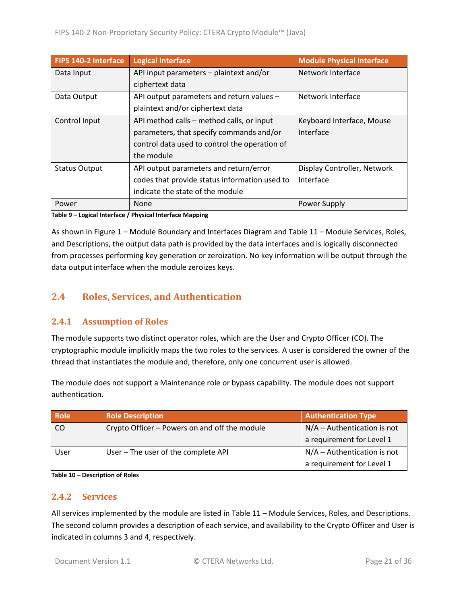| FIPS 140-2 Interface | <b>Logical Interface</b>                      | <b>Module Physical Interface</b> |
|----------------------|-----------------------------------------------|----------------------------------|
| Data Input           | API input parameters - plaintext and/or       | Network Interface                |
|                      | ciphertext data                               |                                  |
| Data Output          | API output parameters and return values -     | Network Interface                |
|                      | plaintext and/or ciphertext data              |                                  |
| Control Input        | API method calls – method calls, or input     | Keyboard Interface, Mouse        |
|                      | parameters, that specify commands and/or      | Interface                        |
|                      | control data used to control the operation of |                                  |
|                      | the module                                    |                                  |
| <b>Status Output</b> | API output parameters and return/error        | Display Controller, Network      |
|                      | codes that provide status information used to | Interface                        |
|                      | indicate the state of the module              |                                  |
| Power                | None                                          | Power Supply                     |

**Table 9 – Logical Interface / Physical Interface Mapping**

As shown in Figure 1 – [Module Boundary and Interfaces Diagram](#page-19-1) and Table 11 – [Module Services, Roles,](#page-22-0) [and Descriptions,](#page-22-0) the output data path is provided by the data interfaces and is logically disconnected from processes performing key generation or zeroization. No key information will be output through the data output interface when the module zeroizes keys.

## <span id="page-20-0"></span>**2.4 Roles, Services, and Authentication**

#### <span id="page-20-1"></span>**2.4.1 Assumption of Roles**

The module supports two distinct operator roles, which are the User and Crypto Officer (CO). The cryptographic module implicitly maps the two roles to the services. A user is considered the owner of the thread that instantiates the module and, therefore, only one concurrent user is allowed.

The module does not support a Maintenance role or bypass capability. The module does not support authentication.

| <b>Role</b> | <b>Role Description</b>                       | <b>Authentication Type</b>    |
|-------------|-----------------------------------------------|-------------------------------|
| CO          | Crypto Officer - Powers on and off the module | $N/A -$ Authentication is not |
|             |                                               | a requirement for Level 1     |
| User        | User - The user of the complete API           | $N/A -$ Authentication is not |
|             |                                               | a requirement for Level 1     |

**Table 10 – Description of Roles**

#### <span id="page-20-2"></span>**2.4.2 Services**

All services implemented by the module are listed in Table 11 – [Module Services, Roles,](#page-22-0) and Descriptions. The second column provides a description of each service, and availability to the Crypto Officer and User is indicated in columns 3 and 4, respectively.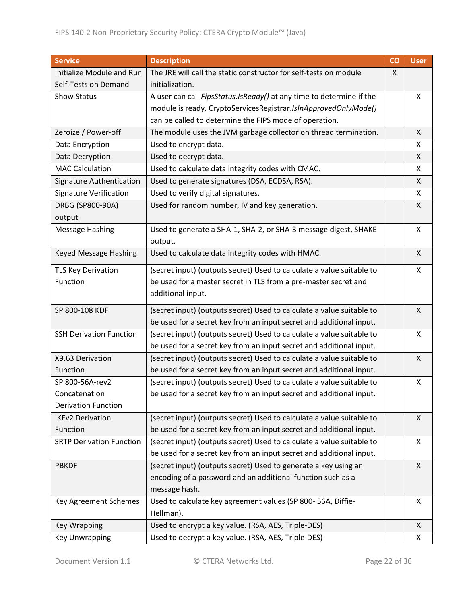| <b>Service</b>                  | <b>Description</b>                                                    | CO | <b>User</b> |
|---------------------------------|-----------------------------------------------------------------------|----|-------------|
| Initialize Module and Run       | The JRE will call the static constructor for self-tests on module     |    |             |
| Self-Tests on Demand            | initialization.                                                       |    |             |
| Show Status                     | A user can call FipsStatus.IsReady() at any time to determine if the  |    | X           |
|                                 | module is ready. CryptoServicesRegistrar.IsInApprovedOnlyMode()       |    |             |
|                                 | can be called to determine the FIPS mode of operation.                |    |             |
| Zeroize / Power-off             | The module uses the JVM garbage collector on thread termination.      |    | X           |
| Data Encryption                 | Used to encrypt data.                                                 |    | X           |
| Data Decryption                 | Used to decrypt data.                                                 |    | X           |
| <b>MAC Calculation</b>          | Used to calculate data integrity codes with CMAC.                     |    | X           |
| Signature Authentication        | Used to generate signatures (DSA, ECDSA, RSA).                        |    | X           |
| <b>Signature Verification</b>   | Used to verify digital signatures.                                    |    | X           |
| DRBG (SP800-90A)                | Used for random number, IV and key generation.                        |    | X           |
| output                          |                                                                       |    |             |
| <b>Message Hashing</b>          | Used to generate a SHA-1, SHA-2, or SHA-3 message digest, SHAKE       |    | X           |
|                                 | output.                                                               |    |             |
| Keyed Message Hashing           | Used to calculate data integrity codes with HMAC.                     |    | X           |
| <b>TLS Key Derivation</b>       | (secret input) (outputs secret) Used to calculate a value suitable to |    | X           |
| Function                        | be used for a master secret in TLS from a pre-master secret and       |    |             |
|                                 | additional input.                                                     |    |             |
| SP 800-108 KDF                  | (secret input) (outputs secret) Used to calculate a value suitable to |    | X           |
|                                 | be used for a secret key from an input secret and additional input.   |    |             |
| <b>SSH Derivation Function</b>  | (secret input) (outputs secret) Used to calculate a value suitable to |    | X           |
|                                 | be used for a secret key from an input secret and additional input.   |    |             |
| X9.63 Derivation                | (secret input) (outputs secret) Used to calculate a value suitable to |    | X           |
| Function                        | be used for a secret key from an input secret and additional input.   |    |             |
| SP 800-56A-rev2                 | (secret input) (outputs secret) Used to calculate a value suitable to |    | X           |
| Concatenation                   | be used for a secret key from an input secret and additional input.   |    |             |
| <b>Derivation Function</b>      |                                                                       |    |             |
| <b>IKEv2 Derivation</b>         | (secret input) (outputs secret) Used to calculate a value suitable to |    | X           |
| Function                        | be used for a secret key from an input secret and additional input.   |    |             |
| <b>SRTP Derivation Function</b> | (secret input) (outputs secret) Used to calculate a value suitable to |    | X           |
|                                 | be used for a secret key from an input secret and additional input.   |    |             |
| <b>PBKDF</b>                    | (secret input) (outputs secret) Used to generate a key using an       |    | X           |
|                                 | encoding of a password and an additional function such as a           |    |             |
|                                 | message hash.                                                         |    |             |
| Key Agreement Schemes           | Used to calculate key agreement values (SP 800-56A, Diffie-           |    | X           |
|                                 | Hellman).                                                             |    |             |
| <b>Key Wrapping</b>             | Used to encrypt a key value. (RSA, AES, Triple-DES)                   |    | X           |
| <b>Key Unwrapping</b>           | Used to decrypt a key value. (RSA, AES, Triple-DES)                   |    | X           |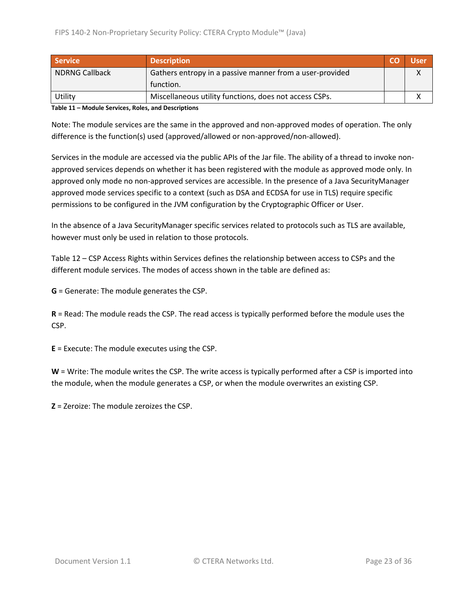| <b>Service</b>        | <b>Description</b>                                       |  | Usen |
|-----------------------|----------------------------------------------------------|--|------|
| <b>NDRNG Callback</b> | Gathers entropy in a passive manner from a user-provided |  |      |
|                       | function.                                                |  |      |
| Utility               | Miscellaneous utility functions, does not access CSPs.   |  |      |

<span id="page-22-0"></span>**Table 11 – Module Services, Roles, and Descriptions**

Note: The module services are the same in the approved and non-approved modes of operation. The only difference is the function(s) used (approved/allowed or non-approved/non-allowed).

Services in the module are accessed via the public APIs of the Jar file. The ability of a thread to invoke nonapproved services depends on whether it has been registered with the module as approved mode only. In approved only mode no non-approved services are accessible. In the presence of a Java SecurityManager approved mode services specific to a context (such as DSA and ECDSA for use in TLS) require specific permissions to be configured in the JVM configuration by the Cryptographic Officer or User.

In the absence of a Java SecurityManager specific services related to protocols such as TLS are available, however must only be used in relation to those protocols.

Table 12 – [CSP Access Rights within Services](#page-24-2) defines the relationship between access to CSPs and the different module services. The modes of access shown in the table are defined as:

**G** = Generate: The module generates the CSP.

**R** = Read: The module reads the CSP. The read access is typically performed before the module uses the CSP.

**E** = Execute: The module executes using the CSP.

**W** = Write: The module writes the CSP. The write access is typically performed after a CSP is imported into the module, when the module generates a CSP, or when the module overwrites an existing CSP.

**Z** = Zeroize: The module zeroizes the CSP.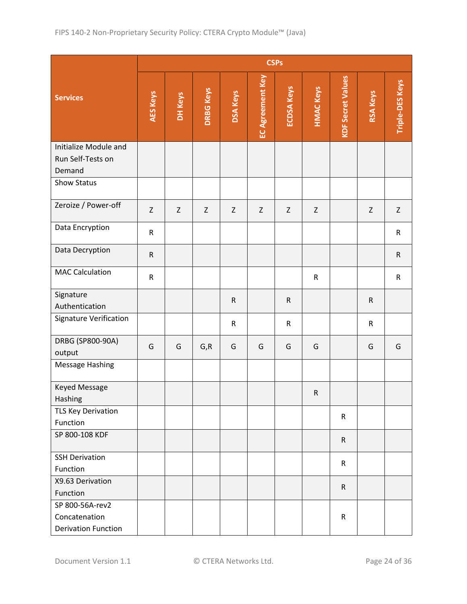|                                                                | <b>CSPs</b>     |             |                  |                 |                         |                   |                  |                          |                 |                        |
|----------------------------------------------------------------|-----------------|-------------|------------------|-----------------|-------------------------|-------------------|------------------|--------------------------|-----------------|------------------------|
| <b>Services</b>                                                | <b>AES Keys</b> | DH Keys     | <b>DRBG Keys</b> | <b>DSA Keys</b> | <b>EC Agreement Key</b> | <b>ECDSA Keys</b> | <b>HMAC Keys</b> | <b>KDF Secret Values</b> | <b>RSA Keys</b> | <b>Triple-DES Keys</b> |
| Initialize Module and<br>Run Self-Tests on<br>Demand           |                 |             |                  |                 |                         |                   |                  |                          |                 |                        |
| Show Status                                                    |                 |             |                  |                 |                         |                   |                  |                          |                 |                        |
| Zeroize / Power-off                                            | $\mathsf Z$     | $\mathsf Z$ | $\mathsf Z$      | $\mathsf Z$     | Z                       | Z                 | Z                |                          | $\mathsf Z$     | $\mathsf Z$            |
| Data Encryption                                                | $\mathsf R$     |             |                  |                 |                         |                   |                  |                          |                 | $\mathsf{R}$           |
| Data Decryption                                                | ${\sf R}$       |             |                  |                 |                         |                   |                  |                          |                 | $\mathsf R$            |
| <b>MAC Calculation</b>                                         | $\mathsf R$     |             |                  |                 |                         |                   | ${\sf R}$        |                          |                 | ${\sf R}$              |
| Signature<br>Authentication                                    |                 |             |                  | ${\sf R}$       |                         | ${\sf R}$         |                  |                          | $\mathsf R$     |                        |
| Signature Verification                                         |                 |             |                  | ${\sf R}$       |                         | $\mathsf R$       |                  |                          | $\mathsf R$     |                        |
| DRBG (SP800-90A)<br>output                                     | G               | G           | G, R             | G               | G                       | G                 | G                |                          | G               | G                      |
| Message Hashing                                                |                 |             |                  |                 |                         |                   |                  |                          |                 |                        |
| <b>Keyed Message</b><br>Hashing                                |                 |             |                  |                 |                         |                   | ${\sf R}$        |                          |                 |                        |
| <b>TLS Key Derivation</b><br>Function                          |                 |             |                  |                 |                         |                   |                  | $\mathsf{R}$             |                 |                        |
| SP 800-108 KDF                                                 |                 |             |                  |                 |                         |                   |                  | $\mathsf{R}$             |                 |                        |
| <b>SSH Derivation</b><br>Function                              |                 |             |                  |                 |                         |                   |                  | $\mathsf{R}$             |                 |                        |
| X9.63 Derivation<br>Function                                   |                 |             |                  |                 |                         |                   |                  | $\mathsf R$              |                 |                        |
| SP 800-56A-rev2<br>Concatenation<br><b>Derivation Function</b> |                 |             |                  |                 |                         |                   |                  | ${\sf R}$                |                 |                        |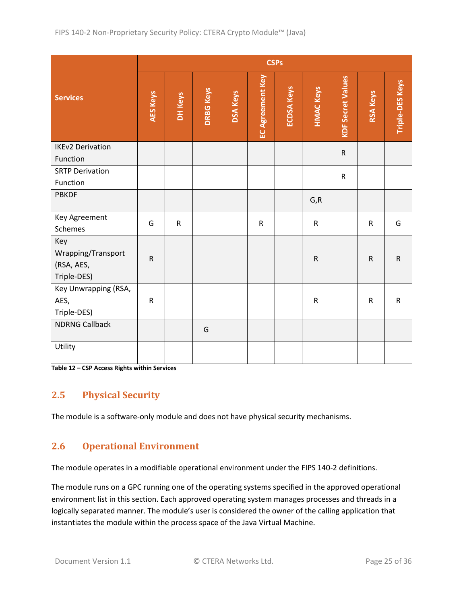|                                                        | <b>CSPs</b>     |              |                  |                 |                  |                   |                  |                          |                 |                        |
|--------------------------------------------------------|-----------------|--------------|------------------|-----------------|------------------|-------------------|------------------|--------------------------|-----------------|------------------------|
| <b>Services</b>                                        | <b>AES Keys</b> | DH Keys      | <b>DRBG Keys</b> | <b>DSA Keys</b> | EC Agreement Key | <b>ECDSA Keys</b> | <b>HMAC Keys</b> | <b>KDF Secret Values</b> | <b>RSA Keys</b> | <b>Triple-DES Keys</b> |
| <b>IKEv2 Derivation</b>                                |                 |              |                  |                 |                  |                   |                  | ${\sf R}$                |                 |                        |
| Function                                               |                 |              |                  |                 |                  |                   |                  |                          |                 |                        |
| <b>SRTP Derivation</b><br>Function                     |                 |              |                  |                 |                  |                   |                  | ${\sf R}$                |                 |                        |
| <b>PBKDF</b>                                           |                 |              |                  |                 |                  |                   | G, R             |                          |                 |                        |
| Key Agreement<br>Schemes                               | G               | $\mathsf{R}$ |                  |                 | $\mathsf{R}$     |                   | ${\sf R}$        |                          | $\mathsf{R}$    | G                      |
| Key<br>Wrapping/Transport<br>(RSA, AES,<br>Triple-DES) | $\mathsf{R}$    |              |                  |                 |                  |                   | ${\sf R}$        |                          | ${\sf R}$       | ${\sf R}$              |
| Key Unwrapping (RSA,<br>AES,<br>Triple-DES)            | ${\sf R}$       |              |                  |                 |                  |                   | $\sf R$          |                          | ${\sf R}$       | ${\sf R}$              |
| <b>NDRNG Callback</b>                                  |                 |              | G                |                 |                  |                   |                  |                          |                 |                        |
| Utility                                                |                 |              |                  |                 |                  |                   |                  |                          |                 |                        |

<span id="page-24-2"></span>**Table 12 – CSP Access Rights within Services**

## <span id="page-24-0"></span>**2.5 Physical Security**

The module is a software-only module and does not have physical security mechanisms.

## <span id="page-24-1"></span>**2.6 Operational Environment**

The module operates in a modifiable operational environment under the FIPS 140-2 definitions.

The module runs on a GPC running one of the operating systems specified in the approved operational environment list in this section. Each approved operating system manages processes and threads in a logically separated manner. The module's user is considered the owner of the calling application that instantiates the module within the process space of the Java Virtual Machine.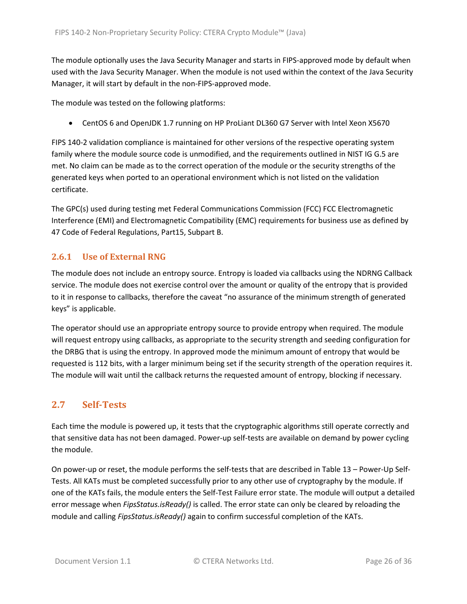The module optionally uses the Java Security Manager and starts in FIPS-approved mode by default when used with the Java Security Manager. When the module is not used within the context of the Java Security Manager, it will start by default in the non-FIPS-approved mode.

The module was tested on the following platforms:

• CentOS 6 and OpenJDK 1.7 running on HP ProLiant DL360 G7 Server with Intel Xeon X5670

FIPS 140-2 validation compliance is maintained for other versions of the respective operating system family where the module source code is unmodified, and the requirements outlined in NIST IG G.5 are met. No claim can be made as to the correct operation of the module or the security strengths of the generated keys when ported to an operational environment which is not listed on the validation certificate.

The GPC(s) used during testing met Federal Communications Commission (FCC) FCC Electromagnetic Interference (EMI) and Electromagnetic Compatibility (EMC) requirements for business use as defined by 47 Code of Federal Regulations, Part15, Subpart B.

### <span id="page-25-0"></span>**2.6.1 Use of External RNG**

The module does not include an entropy source. Entropy is loaded via callbacks using the NDRNG Callback service. The module does not exercise control over the amount or quality of the entropy that is provided to it in response to callbacks, therefore the caveat "no assurance of the minimum strength of generated keys" is applicable.

The operator should use an appropriate entropy source to provide entropy when required. The module will request entropy using callbacks, as appropriate to the security strength and seeding configuration for the DRBG that is using the entropy. In approved mode the minimum amount of entropy that would be requested is 112 bits, with a larger minimum being set if the security strength of the operation requires it. The module will wait until the callback returns the requested amount of entropy, blocking if necessary.

## <span id="page-25-1"></span>**2.7 Self-Tests**

Each time the module is powered up, it tests that the cryptographic algorithms still operate correctly and that sensitive data has not been damaged. Power-up self-tests are available on demand by power cycling the module.

On power-up or reset, the module performs the self-tests that are described in Table 13 – [Power-Up](#page-27-2) Self-[Tests.](#page-27-2) All KATs must be completed successfully prior to any other use of cryptography by the module. If one of the KATs fails, the module enters the Self-Test Failure error state. The module will output a detailed error message when *FipsStatus.isReady()* is called. The error state can only be cleared by reloading the module and calling *FipsStatus.isReady()* again to confirm successful completion of the KATs.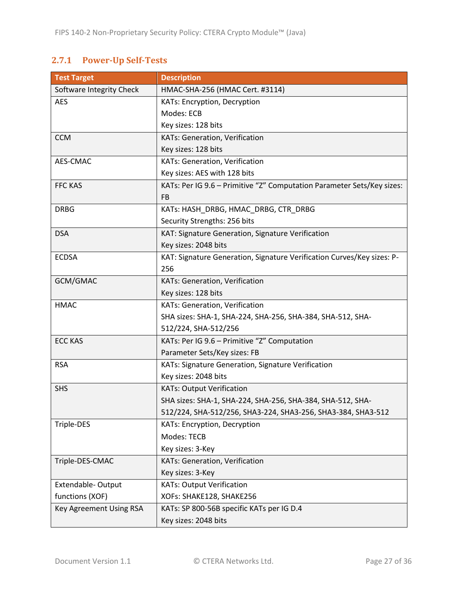# <span id="page-26-0"></span>**2.7.1 Power-Up Self-Tests**

| <b>Test Target</b>       | <b>Description</b>                                                     |
|--------------------------|------------------------------------------------------------------------|
| Software Integrity Check | HMAC-SHA-256 (HMAC Cert. #3114)                                        |
| <b>AES</b>               | KATs: Encryption, Decryption                                           |
|                          | Modes: ECB                                                             |
|                          | Key sizes: 128 bits                                                    |
| <b>CCM</b>               | KATs: Generation, Verification                                         |
|                          | Key sizes: 128 bits                                                    |
| AES-CMAC                 | KATs: Generation, Verification                                         |
|                          | Key sizes: AES with 128 bits                                           |
| <b>FFC KAS</b>           | KATs: Per IG 9.6 - Primitive "Z" Computation Parameter Sets/Key sizes: |
|                          | FB                                                                     |
| <b>DRBG</b>              | KATs: HASH_DRBG, HMAC_DRBG, CTR_DRBG                                   |
|                          | Security Strengths: 256 bits                                           |
| <b>DSA</b>               | KAT: Signature Generation, Signature Verification                      |
|                          | Key sizes: 2048 bits                                                   |
| <b>ECDSA</b>             | KAT: Signature Generation, Signature Verification Curves/Key sizes: P- |
|                          | 256                                                                    |
| GCM/GMAC                 | KATs: Generation, Verification                                         |
|                          | Key sizes: 128 bits                                                    |
| <b>HMAC</b>              | KATs: Generation, Verification                                         |
|                          | SHA sizes: SHA-1, SHA-224, SHA-256, SHA-384, SHA-512, SHA-             |
|                          | 512/224, SHA-512/256                                                   |
| <b>ECC KAS</b>           | KATs: Per IG 9.6 - Primitive "Z" Computation                           |
|                          | Parameter Sets/Key sizes: FB                                           |
| <b>RSA</b>               | KATs: Signature Generation, Signature Verification                     |
|                          | Key sizes: 2048 bits                                                   |
| <b>SHS</b>               | <b>KATs: Output Verification</b>                                       |
|                          | SHA sizes: SHA-1, SHA-224, SHA-256, SHA-384, SHA-512, SHA-             |
|                          | 512/224, SHA-512/256, SHA3-224, SHA3-256, SHA3-384, SHA3-512           |
| Triple-DES               | KATs: Encryption, Decryption                                           |
|                          | Modes: TECB                                                            |
|                          | Key sizes: 3-Key                                                       |
| Triple-DES-CMAC          | KATs: Generation, Verification                                         |
|                          | Key sizes: 3-Key                                                       |
| Extendable-Output        | <b>KATs: Output Verification</b>                                       |
| functions (XOF)          | XOFs: SHAKE128, SHAKE256                                               |
| Key Agreement Using RSA  | KATs: SP 800-56B specific KATs per IG D.4                              |
|                          | Key sizes: 2048 bits                                                   |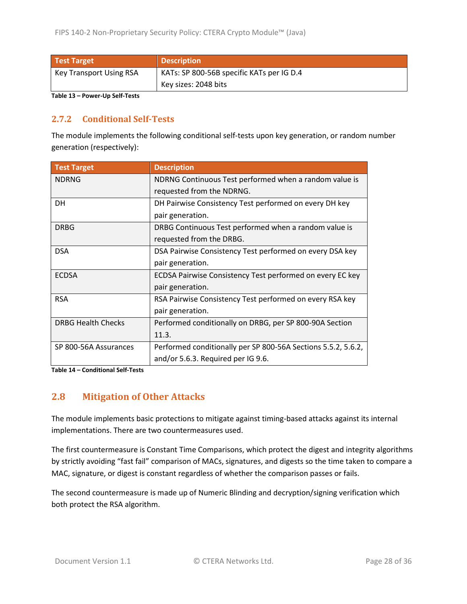| <b>Test Target</b>             | <b>Description</b>                        |  |  |
|--------------------------------|-------------------------------------------|--|--|
| <b>Key Transport Using RSA</b> | KATs: SP 800-56B specific KATs per IG D.4 |  |  |
|                                | Key sizes: 2048 bits                      |  |  |

<span id="page-27-2"></span>**Table 13 – Power-Up Self-Tests**

#### <span id="page-27-0"></span>**2.7.2 Conditional Self-Tests**

The module implements the following conditional self-tests upon key generation, or random number generation (respectively):

| <b>Test Target</b>        | <b>Description</b>                                            |
|---------------------------|---------------------------------------------------------------|
| <b>NDRNG</b>              | NDRNG Continuous Test performed when a random value is        |
|                           | requested from the NDRNG.                                     |
| <b>DH</b>                 | DH Pairwise Consistency Test performed on every DH key        |
|                           | pair generation.                                              |
| <b>DRBG</b>               | DRBG Continuous Test performed when a random value is         |
|                           | requested from the DRBG.                                      |
| <b>DSA</b>                | DSA Pairwise Consistency Test performed on every DSA key      |
|                           | pair generation.                                              |
| <b>ECDSA</b>              | ECDSA Pairwise Consistency Test performed on every EC key     |
|                           | pair generation.                                              |
| <b>RSA</b>                | RSA Pairwise Consistency Test performed on every RSA key      |
|                           | pair generation.                                              |
| <b>DRBG Health Checks</b> | Performed conditionally on DRBG, per SP 800-90A Section       |
|                           | 11.3.                                                         |
| SP 800-56A Assurances     | Performed conditionally per SP 800-56A Sections 5.5.2, 5.6.2, |
|                           | and/or 5.6.3. Required per IG 9.6.                            |

**Table 14 – Conditional Self-Tests**

### <span id="page-27-1"></span>**2.8 Mitigation of Other Attacks**

The module implements basic protections to mitigate against timing-based attacks against its internal implementations. There are two countermeasures used.

The first countermeasure is Constant Time Comparisons, which protect the digest and integrity algorithms by strictly avoiding "fast fail" comparison of MACs, signatures, and digests so the time taken to compare a MAC, signature, or digest is constant regardless of whether the comparison passes or fails.

The second countermeasure is made up of Numeric Blinding and decryption/signing verification which both protect the RSA algorithm.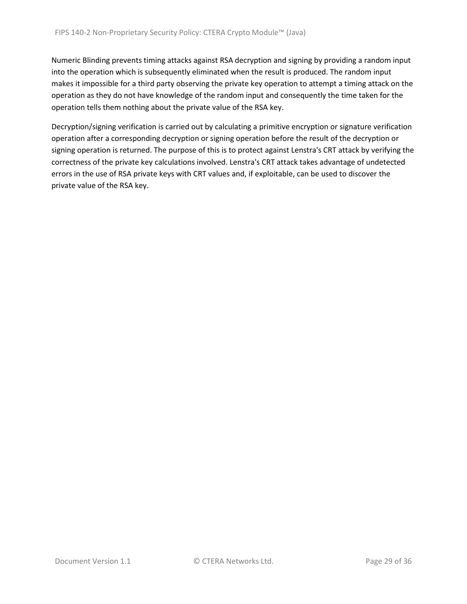Numeric Blinding prevents timing attacks against RSA decryption and signing by providing a random input into the operation which is subsequently eliminated when the result is produced. The random input makes it impossible for a third party observing the private key operation to attempt a timing attack on the operation as they do not have knowledge of the random input and consequently the time taken for the operation tells them nothing about the private value of the RSA key.

Decryption/signing verification is carried out by calculating a primitive encryption or signature verification operation after a corresponding decryption or signing operation before the result of the decryption or signing operation is returned. The purpose of this is to protect against Lenstra's CRT attack by verifying the correctness of the private key calculations involved. Lenstra's CRT attack takes advantage of undetected errors in the use of RSA private keys with CRT values and, if exploitable, can be used to discover the private value of the RSA key.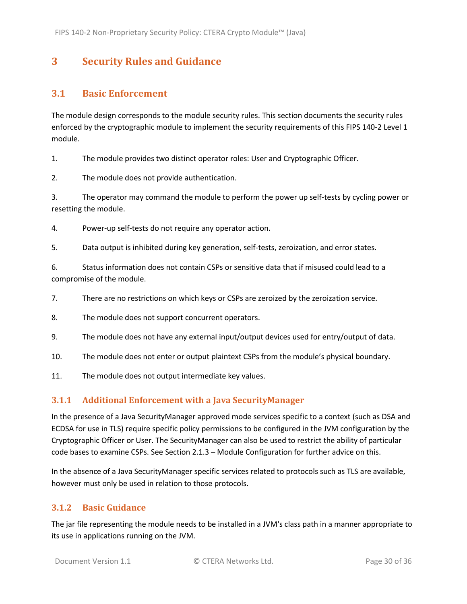# <span id="page-29-0"></span>**3 Security Rules and Guidance**

## <span id="page-29-1"></span>**3.1 Basic Enforcement**

The module design corresponds to the module security rules. This section documents the security rules enforced by the cryptographic module to implement the security requirements of this FIPS 140-2 Level 1 module.

1. The module provides two distinct operator roles: User and Cryptographic Officer.

2. The module does not provide authentication.

3. The operator may command the module to perform the power up self-tests by cycling power or resetting the module.

4. Power-up self-tests do not require any operator action.

5. Data output is inhibited during key generation, self-tests, zeroization, and error states.

6. Status information does not contain CSPs or sensitive data that if misused could lead to a compromise of the module.

7. There are no restrictions on which keys or CSPs are zeroized by the zeroization service.

- 8. The module does not support concurrent operators.
- 9. The module does not have any external input/output devices used for entry/output of data.
- 10. The module does not enter or output plaintext CSPs from the module's physical boundary.
- 11. The module does not output intermediate key values.

#### <span id="page-29-2"></span>**3.1.1 Additional Enforcement with a Java SecurityManager**

In the presence of a Java SecurityManager approved mode services specific to a context (such as DSA and ECDSA for use in TLS) require specific policy permissions to be configured in the JVM configuration by the Cryptographic Officer or User. The SecurityManager can also be used to restrict the ability of particular code bases to examine CSPs. See Section [2.1.3](#page-6-0) – Module Configuration for further advice on this.

In the absence of a Java SecurityManager specific services related to protocols such as TLS are available, however must only be used in relation to those protocols.

#### <span id="page-29-3"></span>**3.1.2 Basic Guidance**

The jar file representing the module needs to be installed in a JVM's class path in a manner appropriate to its use in applications running on the JVM.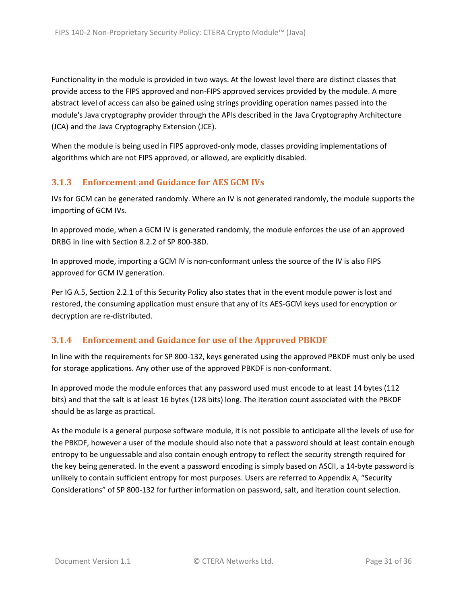Functionality in the module is provided in two ways. At the lowest level there are distinct classes that provide access to the FIPS approved and non-FIPS approved services provided by the module. A more abstract level of access can also be gained using strings providing operation names passed into the module's Java cryptography provider through the APIs described in the Java Cryptography Architecture (JCA) and the Java Cryptography Extension (JCE).

When the module is being used in FIPS approved-only mode, classes providing implementations of algorithms which are not FIPS approved, or allowed, are explicitly disabled.

### <span id="page-30-0"></span>**3.1.3 Enforcement and Guidance for AES GCM IVs**

IVs for GCM can be generated randomly. Where an IV is not generated randomly, the module supports the importing of GCM IVs.

In approved mode, when a GCM IV is generated randomly, the module enforces the use of an approved DRBG in line with Section 8.2.2 of SP 800-38D.

In approved mode, importing a GCM IV is non-conformant unless the source of the IV is also FIPS approved for GCM IV generation.

Per IG A.5, Sectio[n 2.2.1](#page-16-1) of this Security Policy also states that in the event module power is lost and restored, the consuming application must ensure that any of its AES-GCM keys used for encryption or decryption are re-distributed.

### <span id="page-30-1"></span>**3.1.4 Enforcement and Guidance for use of the Approved PBKDF**

In line with the requirements for SP 800-132, keys generated using the approved PBKDF must only be used for storage applications. Any other use of the approved PBKDF is non-conformant.

In approved mode the module enforces that any password used must encode to at least 14 bytes (112 bits) and that the salt is at least 16 bytes (128 bits) long. The iteration count associated with the PBKDF should be as large as practical.

As the module is a general purpose software module, it is not possible to anticipate all the levels of use for the PBKDF, however a user of the module should also note that a password should at least contain enough entropy to be unguessable and also contain enough entropy to reflect the security strength required for the key being generated. In the event a password encoding is simply based on ASCII, a 14-byte password is unlikely to contain sufficient entropy for most purposes. Users are referred to Appendix A, "Security Considerations" of SP 800-132 for further information on password, salt, and iteration count selection.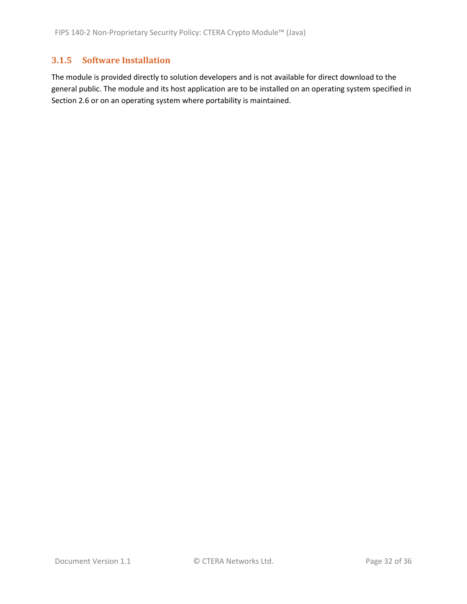#### <span id="page-31-0"></span>**3.1.5 Software Installation**

The module is provided directly to solution developers and is not available for direct download to the general public. The module and its host application are to be installed on an operating system specified in Section [2.6](#page-24-1) or on an operating system where portability is maintained.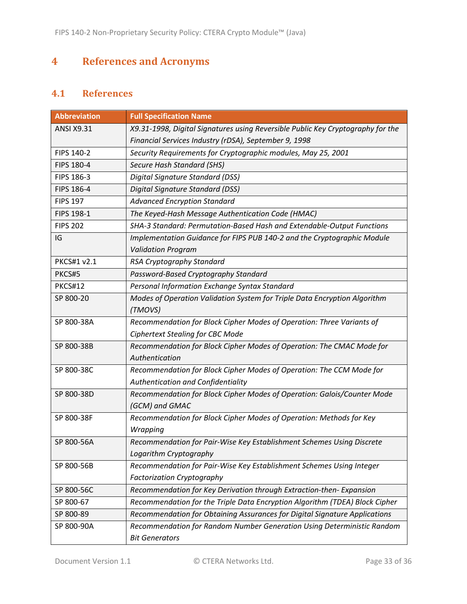# <span id="page-32-0"></span>**4 References and Acronyms**

# <span id="page-32-1"></span>**4.1 References**

| <b>Abbreviation</b> | <b>Full Specification Name</b>                                                  |
|---------------------|---------------------------------------------------------------------------------|
| <b>ANSI X9.31</b>   | X9.31-1998, Digital Signatures using Reversible Public Key Cryptography for the |
|                     | Financial Services Industry (rDSA), September 9, 1998                           |
| FIPS 140-2          | Security Requirements for Cryptographic modules, May 25, 2001                   |
| FIPS 180-4          | Secure Hash Standard (SHS)                                                      |
| FIPS 186-3          | Digital Signature Standard (DSS)                                                |
| FIPS 186-4          | Digital Signature Standard (DSS)                                                |
| <b>FIPS 197</b>     | <b>Advanced Encryption Standard</b>                                             |
| FIPS 198-1          | The Keyed-Hash Message Authentication Code (HMAC)                               |
| <b>FIPS 202</b>     | SHA-3 Standard: Permutation-Based Hash and Extendable-Output Functions          |
| IG                  | Implementation Guidance for FIPS PUB 140-2 and the Cryptographic Module         |
|                     | <b>Validation Program</b>                                                       |
| <b>PKCS#1 v2.1</b>  | RSA Cryptography Standard                                                       |
| PKCS#5              | Password-Based Cryptography Standard                                            |
| <b>PKCS#12</b>      | Personal Information Exchange Syntax Standard                                   |
| SP 800-20           | Modes of Operation Validation System for Triple Data Encryption Algorithm       |
|                     | (TMOVS)                                                                         |
| SP 800-38A          | Recommendation for Block Cipher Modes of Operation: Three Variants of           |
|                     | <b>Ciphertext Stealing for CBC Mode</b>                                         |
| SP 800-38B          | Recommendation for Block Cipher Modes of Operation: The CMAC Mode for           |
|                     | Authentication                                                                  |
| SP 800-38C          | Recommendation for Block Cipher Modes of Operation: The CCM Mode for            |
|                     | Authentication and Confidentiality                                              |
| SP 800-38D          | Recommendation for Block Cipher Modes of Operation: Galois/Counter Mode         |
|                     | (GCM) and GMAC                                                                  |
| SP 800-38F          | Recommendation for Block Cipher Modes of Operation: Methods for Key             |
|                     | Wrapping                                                                        |
| SP 800-56A          | Recommendation for Pair-Wise Key Establishment Schemes Using Discrete           |
|                     | Logarithm Cryptography                                                          |
| SP 800-56B          | Recommendation for Pair-Wise Key Establishment Schemes Using Integer            |
|                     | <b>Factorization Cryptography</b>                                               |
| SP 800-56C          | Recommendation for Key Derivation through Extraction-then-Expansion             |
| SP 800-67           | Recommendation for the Triple Data Encryption Algorithm (TDEA) Block Cipher     |
| SP 800-89           | Recommendation for Obtaining Assurances for Digital Signature Applications      |
| SP 800-90A          | Recommendation for Random Number Generation Using Deterministic Random          |
|                     | <b>Bit Generators</b>                                                           |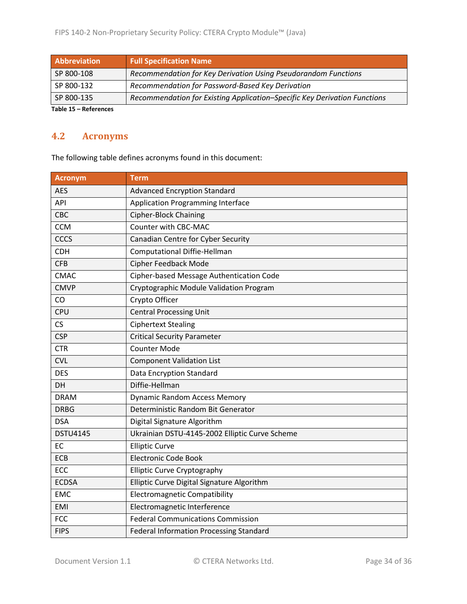| Abbreviation        | <b>Full Specification Name</b>                                            |
|---------------------|---------------------------------------------------------------------------|
| SP 800-108          | Recommendation for Key Derivation Using Pseudorandom Functions            |
| SP 800-132          | Recommendation for Password-Based Key Derivation                          |
| SP 800-135          | Recommendation for Existing Application-Specific Key Derivation Functions |
| Table 45 Defensesse |                                                                           |

**Table 15 – References**

# <span id="page-33-0"></span>**4.2 Acronyms**

The following table defines acronyms found in this document:

| <b>Acronym</b>  | <b>Term</b>                                    |
|-----------------|------------------------------------------------|
| <b>AES</b>      | <b>Advanced Encryption Standard</b>            |
| <b>API</b>      | <b>Application Programming Interface</b>       |
| <b>CBC</b>      | <b>Cipher-Block Chaining</b>                   |
| <b>CCM</b>      | Counter with CBC-MAC                           |
| <b>CCCS</b>     | Canadian Centre for Cyber Security             |
| <b>CDH</b>      | <b>Computational Diffie-Hellman</b>            |
| <b>CFB</b>      | <b>Cipher Feedback Mode</b>                    |
| <b>CMAC</b>     | Cipher-based Message Authentication Code       |
| <b>CMVP</b>     | Cryptographic Module Validation Program        |
| CO              | Crypto Officer                                 |
| <b>CPU</b>      | <b>Central Processing Unit</b>                 |
| <b>CS</b>       | <b>Ciphertext Stealing</b>                     |
| <b>CSP</b>      | <b>Critical Security Parameter</b>             |
| <b>CTR</b>      | <b>Counter Mode</b>                            |
| <b>CVL</b>      | <b>Component Validation List</b>               |
| <b>DES</b>      | Data Encryption Standard                       |
| DH              | Diffie-Hellman                                 |
| <b>DRAM</b>     | <b>Dynamic Random Access Memory</b>            |
| <b>DRBG</b>     | Deterministic Random Bit Generator             |
| <b>DSA</b>      | Digital Signature Algorithm                    |
| <b>DSTU4145</b> | Ukrainian DSTU-4145-2002 Elliptic Curve Scheme |
| <b>EC</b>       | <b>Elliptic Curve</b>                          |
| <b>ECB</b>      | <b>Electronic Code Book</b>                    |
| ECC             | <b>Elliptic Curve Cryptography</b>             |
| <b>ECDSA</b>    | Elliptic Curve Digital Signature Algorithm     |
| <b>EMC</b>      | <b>Electromagnetic Compatibility</b>           |
| <b>EMI</b>      | Electromagnetic Interference                   |
| <b>FCC</b>      | <b>Federal Communications Commission</b>       |
| <b>FIPS</b>     | <b>Federal Information Processing Standard</b> |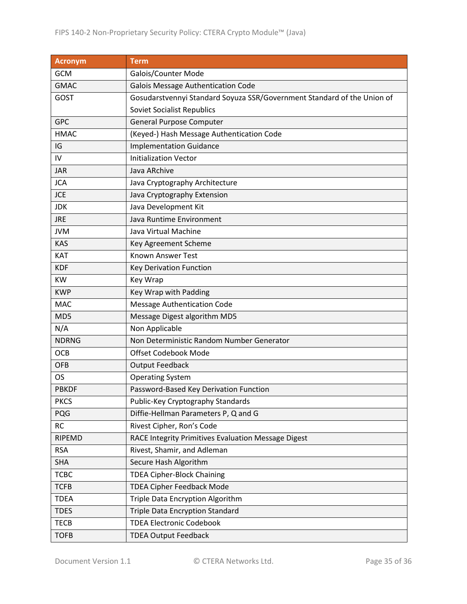| <b>Acronym</b> | <b>Term</b>                                                             |
|----------------|-------------------------------------------------------------------------|
| <b>GCM</b>     | Galois/Counter Mode                                                     |
| <b>GMAC</b>    | <b>Galois Message Authentication Code</b>                               |
| <b>GOST</b>    | Gosudarstvennyi Standard Soyuza SSR/Government Standard of the Union of |
|                | <b>Soviet Socialist Republics</b>                                       |
| <b>GPC</b>     | <b>General Purpose Computer</b>                                         |
| <b>HMAC</b>    | (Keyed-) Hash Message Authentication Code                               |
| IG             | <b>Implementation Guidance</b>                                          |
| IV             | <b>Initialization Vector</b>                                            |
| <b>JAR</b>     | Java ARchive                                                            |
| <b>JCA</b>     | Java Cryptography Architecture                                          |
| <b>JCE</b>     | Java Cryptography Extension                                             |
| <b>JDK</b>     | Java Development Kit                                                    |
| <b>JRE</b>     | Java Runtime Environment                                                |
| <b>JVM</b>     | Java Virtual Machine                                                    |
| <b>KAS</b>     | Key Agreement Scheme                                                    |
| KAT            | <b>Known Answer Test</b>                                                |
| <b>KDF</b>     | Key Derivation Function                                                 |
| <b>KW</b>      | Key Wrap                                                                |
| <b>KWP</b>     | Key Wrap with Padding                                                   |
| <b>MAC</b>     | <b>Message Authentication Code</b>                                      |
| MD5            | Message Digest algorithm MD5                                            |
| N/A            | Non Applicable                                                          |
| <b>NDRNG</b>   | Non Deterministic Random Number Generator                               |
| <b>OCB</b>     | <b>Offset Codebook Mode</b>                                             |
| <b>OFB</b>     | <b>Output Feedback</b>                                                  |
| <b>OS</b>      | <b>Operating System</b>                                                 |
| <b>PBKDF</b>   | Password-Based Key Derivation Function                                  |
| <b>PKCS</b>    | Public-Key Cryptography Standards                                       |
| PQG            | Diffie-Hellman Parameters P, Q and G                                    |
| <b>RC</b>      | Rivest Cipher, Ron's Code                                               |
| <b>RIPEMD</b>  | RACE Integrity Primitives Evaluation Message Digest                     |
| <b>RSA</b>     | Rivest, Shamir, and Adleman                                             |
| <b>SHA</b>     | Secure Hash Algorithm                                                   |
| <b>TCBC</b>    | <b>TDEA Cipher-Block Chaining</b>                                       |
| <b>TCFB</b>    | <b>TDEA Cipher Feedback Mode</b>                                        |
| <b>TDEA</b>    | Triple Data Encryption Algorithm                                        |
| <b>TDES</b>    | <b>Triple Data Encryption Standard</b>                                  |
| <b>TECB</b>    | <b>TDEA Electronic Codebook</b>                                         |
| <b>TOFB</b>    | <b>TDEA Output Feedback</b>                                             |